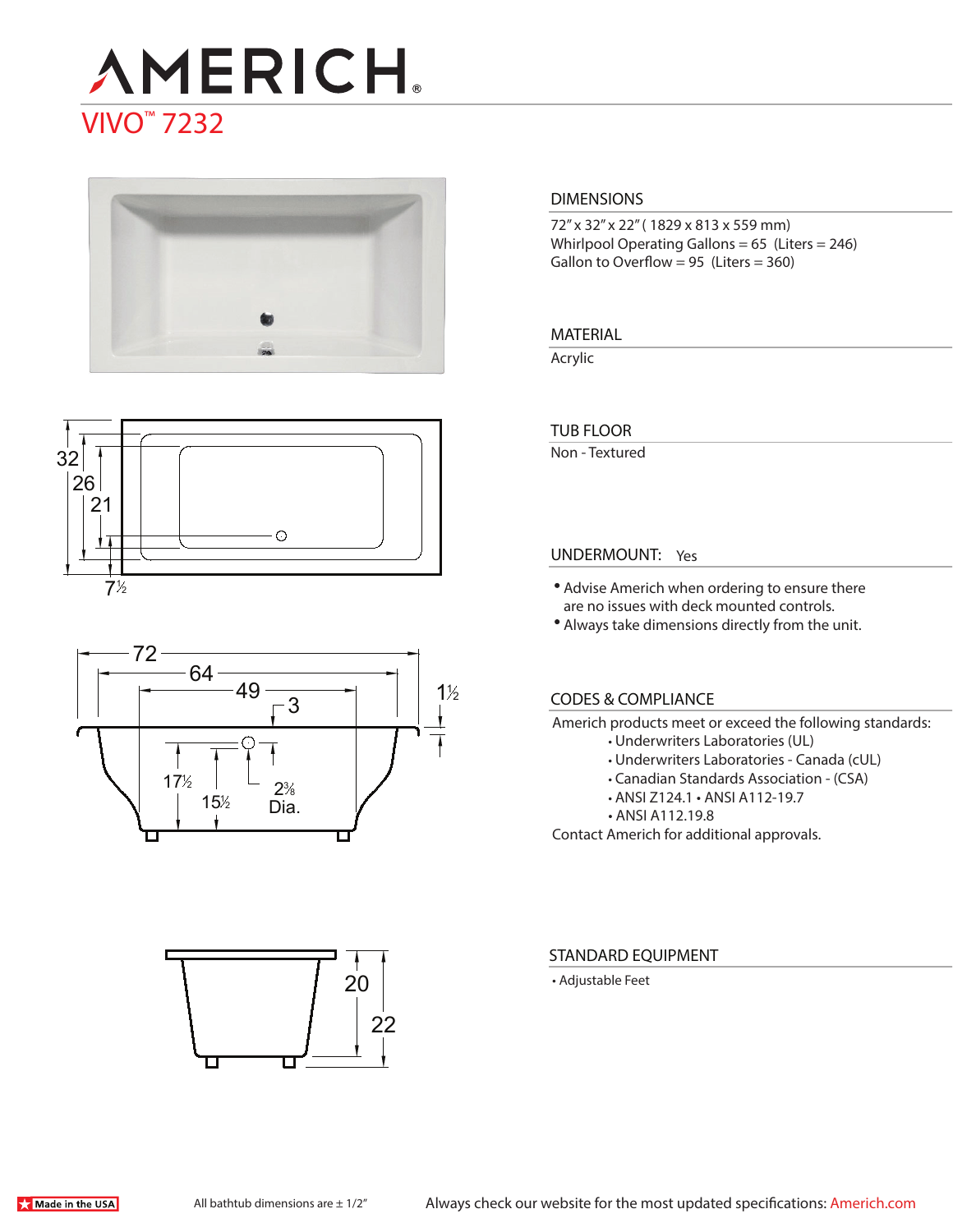# **AMERICH** VIVO™ 7232







# 22 20

#### **DIMENSIONS**

72" x 32" x 22" ( 1829 x 813 x 559 mm) Whirlpool Operating Gallons = 65 (Liters = 246) Gallon to Overflow =  $95$  (Liters =  $360$ )

#### **MATERIAL**

Acrylic

#### **TUB FLOOR**

Non - Textured

#### **UNDERMOUNT:** Yes

- Advise Americh when ordering to ensure there are no issues with deck mounted controls.
- Always take dimensions directly from the unit.

#### **CODES & COMPLIANCE**

Americh products meet or exceed the following standards:

- Underwriters Laboratories (UL)
- Underwriters Laboratories Canada (cUL)
- Canadian Standards Association (CSA)
- ANSI Z124.1 ANSI A112-19.7
- ANSI A112.19.8

Contact Americh for additional approvals.

#### **STANDARD EQUIPMENT**

• Adjustable Feet